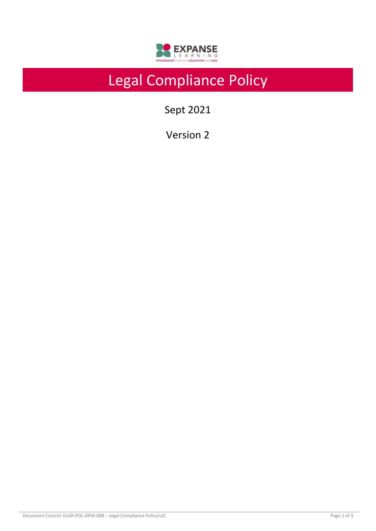

# Legal Compliance Policy

Sept 2021

Version 2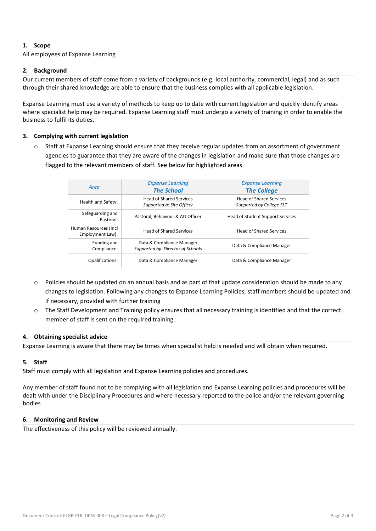## **1. Scope**

#### All employees of Expanse Learning

### **2. Background**

Our current members of staff come from a variety of backgrounds (e.g. local authority, commercial, legal) and as such through their shared knowledge are able to ensure that the business complies with all applicable legislation.

Expanse Learning must use a variety of methods to keep up to date with current legislation and quickly identify areas where specialist help may be required. Expanse Learning staff must undergo a variety of training in order to enable the business to fulfil its duties.

#### **3. Complying with current legislation**

Staff at Expanse Learning should ensure that they receive regular updates from an assortment of government agencies to guarantee that they are aware of the changes in legislation and make sure that those changes are flagged to the relevant members of staff. See below for highlighted areas

| Area                                       | <b>Expanse Learning</b><br><b>The School</b>                   | <b>Expanse Learning</b><br><b>The College</b>              |  |
|--------------------------------------------|----------------------------------------------------------------|------------------------------------------------------------|--|
| Health and Safety:                         | <b>Head of Shared Services</b><br>Supported b: Site Officer    | <b>Head of Shared Services</b><br>Supported by College SLT |  |
| Safeguarding and<br>Pastoral:              | Pastoral, Behaviour & Att Officer                              | Head of Student Support Services                           |  |
| Human Resources (Incl.<br>Employment Law): | <b>Head of Shared Services</b>                                 | <b>Head of Shared Services</b>                             |  |
| Funding and<br>Compliance:                 | Data & Compliance Manager<br>Supported by: Director of Schools | Data & Compliance Manager                                  |  |
| <b>Qualifications:</b>                     | Data & Compliance Manager                                      | Data & Compliance Manager                                  |  |

- o Policies should be updated on an annual basis and as part of that update consideration should be made to any changes to legislation. Following any changes to Expanse Learning Policies, staff members should be updated and if necessary, provided with further training
- o The Staff Development and Training policy ensures that all necessary training is identified and that the correct member of staff is sent on the required training.

#### **4. Obtaining specialist advice**

Expanse Learning is aware that there may be times when specialist help is needed and will obtain when required.

#### **5. Staff**

Staff must comply with all legislation and Expanse Learning policies and procedures.

Any member of staff found not to be complying with all legislation and Expanse Learning policies and procedures will be dealt with under the Disciplinary Procedures and where necessary reported to the police and/or the relevant governing bodies

#### **6. Monitoring and Review**

The effectiveness of this policy will be reviewed annually.